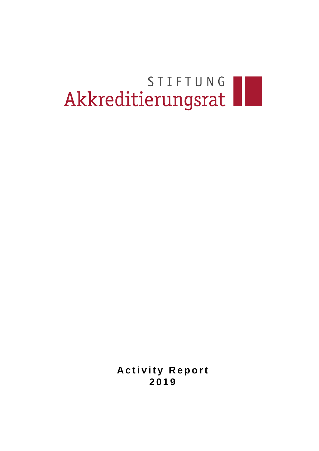# STIFTUNG

**Activity Report 2 0 1 9**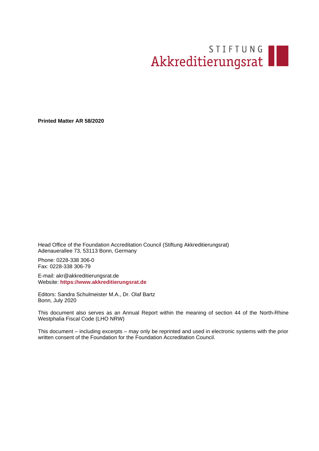## STIFTUNG

**Printed Matter AR 58/2020**

Head Office of the Foundation Accreditation Council (Stiftung Akkreditierungsrat) Adenauerallee 73, 53113 Bonn, Germany

Phone: 0228-338 306-0 Fax: 0228-338 306-79

E-mail: akr@akkreditierungsrat.de Website: **[https://www.akkreditierungsrat.de](http://www.akkreditierungsrat.de/)**

Editors: Sandra Schulmeister M.A., Dr. Olaf Bartz Bonn, July 2020

This document also serves as an Annual Report within the meaning of section 44 of the North-Rhine Westphalia Fiscal Code (LHO NRW)

This document – including excerpts – may only be reprinted and used in electronic systems with the prior written consent of the Foundation for the Foundation Accreditation Council.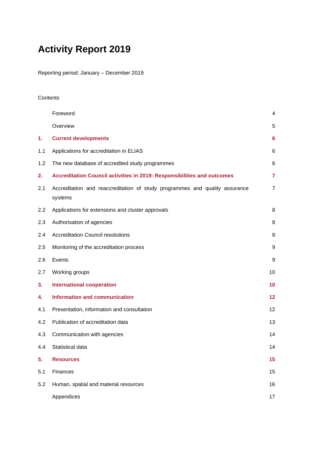### **Activity Report 2019**

Reporting period: January – December 2019

#### **Contents**

|     | Foreword                                                                               | 4              |
|-----|----------------------------------------------------------------------------------------|----------------|
|     | Overview                                                                               | 5              |
| 1.  | <b>Current developments</b>                                                            | 6              |
| 1.1 | Applications for accreditation in ELIAS                                                | 6              |
| 1.2 | The new database of accredited study programmes                                        | 6              |
| 2.  | Accreditation Council activities in 2019: Responsibilities and outcomes                | $\overline{7}$ |
| 2.1 | Accreditation and reaccreditation of study programmes and quality assurance<br>systems | $\overline{7}$ |
| 2.2 | Applications for extensions and cluster approvals                                      | 8              |
| 2.3 | Authorisation of agencies                                                              | 8              |
| 2.4 | <b>Accreditation Council resolutions</b>                                               | 8              |
| 2.5 | Monitoring of the accreditation process                                                | 9              |
| 2.6 | Events                                                                                 | 9              |
| 2.7 | Working groups                                                                         | 10             |
| 3.  | <b>International cooperation</b>                                                       | 10             |
| 4.  | <b>Information and communication</b>                                                   | 12             |
| 4.1 | Presentation, information and consultation                                             | 12             |
| 4.2 | Publication of accreditation data                                                      | 13             |
| 4.3 | Communication with agencies                                                            | 14             |
| 4.4 | Statistical data                                                                       | 14             |
| 5.  | <b>Resources</b>                                                                       | 15             |
| 5.1 | Finances                                                                               | 15             |
| 5.2 | Human, spatial and material resources                                                  | 16             |
|     | Appendices                                                                             | 17             |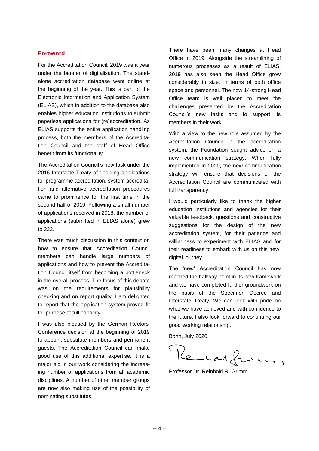#### <span id="page-3-0"></span>**Foreword**

For the Accreditation Council, 2019 was a year under the banner of digitalisation. The standalone accreditation database went online at the beginning of the year. This is part of the Electronic Information and Application System (ELIAS), which in addition to the database also enables higher education institutions to submit paperless applications for (re)accreditation. As ELIAS supports the entire application handling process, both the members of the Accreditation Council and the staff of Head Office benefit from its functionality.

The Accreditation Council's new task under the 2016 Interstate Treaty of deciding applications for programme accreditation, system accreditation and alternative accreditation procedures came to prominence for the first time in the second half of 2019. Following a small number of applications received in 2018, the number of applications (submitted in ELIAS alone) grew to 222.

There was much discussion in this context on how to ensure that Accreditation Council members can handle large numbers of applications and how to prevent the Accreditation Council itself from becoming a bottleneck in the overall process. The focus of this debate was on the requirements for plausibility checking and on report quality. I am delighted to report that the application system proved fit for purpose at full capacity.

I was also pleased by the German Rectors' Conference decision at the beginning of 2019 to appoint substitute members and permanent guests. The Accreditation Council can make good use of this additional expertise. It is a major aid in our work considering the increasing number of applications from all academic disciplines. A number of other member groups are now also making use of the possibility of nominating substitutes.

There have been many changes at Head Office in 2019. Alongside the streamlining of numerous processes as a result of ELIAS, 2019 has also seen the Head Office grow considerably in size, in terms of both office space and personnel. The now 14-strong Head Office team is well placed to meet the challenges presented by the Accreditation Council's new tasks and to support its members in their work.

With a view to the new role assumed by the Accreditation Council in the accreditation system, the Foundation sought advice on a new communication strategy. When fully implemented in 2020, the new communication strategy will ensure that decisions of the Accreditation Council are communicated with full transparency.

I would particularly like to thank the higher education institutions and agencies for their valuable feedback, questions and constructive suggestions for the design of the new accreditation system, for their patience and willingness to experiment with ELIAS and for their readiness to embark with us on this new, digital journey.

The 'new' Accreditation Council has now reached the halfway point in its new framework and we have completed further groundwork on the basis of the Specimen Decree and Interstate Treaty. We can look with pride on what we have achieved and with confidence to the future. I also look forward to continuing our good working relationship.

Bonn, July 2020

Kemhar friend,

Professor Dr. Reinhold R. Grimm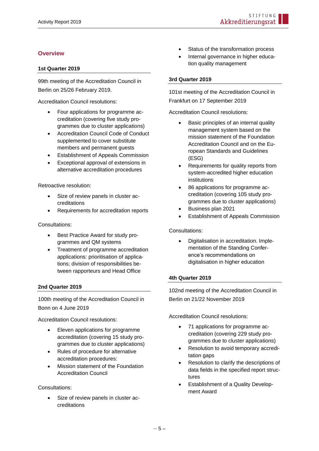#### <span id="page-4-0"></span>**Overview**

#### **1st Quarter 2019**

99th meeting of the Accreditation Council in Berlin on 25/26 February 2019.

Accreditation Council resolutions:

- Four applications for programme accreditation (covering five study programmes due to cluster applications)
- Accreditation Council Code of Conduct supplemented to cover substitute members and permanent guests
- Establishment of Appeals Commission
- Exceptional approval of extensions in alternative accreditation procedures

Retroactive resolution:

- Size of review panels in cluster accreditations
- Requirements for accreditation reports

Consultations:

- Best Practice Award for study programmes and QM systems
- Treatment of programme accreditation applications: prioritisation of applications; division of responsibilities between rapporteurs and Head Office

#### **2nd Quarter 2019**

100th meeting of the Accreditation Council in Bonn on 4 June 2019

Accreditation Council resolutions:

- Eleven applications for programme accreditation (covering 15 study programmes due to cluster applications)
- Rules of procedure for alternative accreditation procedures:
- Mission statement of the Foundation Accreditation Council

#### Consultations:

• Size of review panels in cluster accreditations

- Status of the transformation process
- Internal governance in higher education quality management

#### **3rd Quarter 2019**

101st meeting of the Accreditation Council in Frankfurt on 17 September 2019

Accreditation Council resolutions:

- Basic principles of an internal quality management system based on the mission statement of the Foundation Accreditation Council and on the European Standards and Guidelines (ESG)
- Requirements for quality reports from system-accredited higher education institutions
- 86 applications for programme accreditation (covering 105 study programmes due to cluster applications)
- Business plan 2021
- Establishment of Appeals Commission

Consultations:

• Digitalisation in accreditation. Implementation of the Standing Conference's recommendations on digitalisation in higher education

#### **4th Quarter 2019**

102nd meeting of the Accreditation Council in Berlin on 21/22 November 2019

Accreditation Council resolutions:

- 71 applications for programme accreditation (covering 229 study programmes due to cluster applications)
- Resolution to avoid temporary accreditation gaps
- Resolution to clarify the descriptions of data fields in the specified report structures
- Establishment of a Quality Development Award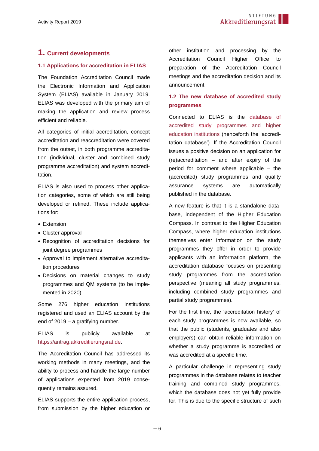#### <span id="page-5-0"></span>**1. Current developments**

#### <span id="page-5-1"></span>**1.1 Applications for accreditation in ELIAS**

The Foundation Accreditation Council made the Electronic Information and Application System (ELIAS) available in January 2019. ELIAS was developed with the primary aim of making the application and review process efficient and reliable.

All categories of initial accreditation, concept accreditation and reaccreditation were covered from the outset, in both programme accreditation (individual, cluster and combined study programme accreditation) and system accreditation.

ELIAS is also used to process other application categories, some of which are still being developed or refined. These include applications for:

- Extension
- Cluster approval
- Recognition of accreditation decisions for joint degree programmes
- Approval to implement alternative accreditation procedures
- Decisions on material changes to study programmes and QM systems (to be implemented in 2020)

Some 276 higher education institutions registered and used an ELIAS account by the end of 2019 – a gratifying number.

#### ELIAS is publicly available at [https://antrag.akkreditierungsrat.de.](https://antrag.akkreditierungsrat.de/)

The Accreditation Council has addressed its working methods in many meetings, and the ability to process and handle the large number of applications expected from 2019 consequently remains assured.

ELIAS supports the entire application process, from submission by the higher education or other institution and processing by the Accreditation Council Higher Office to preparation of the Accreditation Council meetings and the accreditation decision and its announcement.

#### <span id="page-5-2"></span>**1.2 The new database of accredited study programmes**

Connected to ELIAS is the [database of](https://antrag.akkreditierungsrat.de/)  [accredited study programmes and higher](https://antrag.akkreditierungsrat.de/)  [education institutions](https://antrag.akkreditierungsrat.de/) (henceforth the 'accreditation database'). If the Accreditation Council issues a positive decision on an application for (re)accreditation – and after expiry of the period for comment where applicable – the (accredited) study programmes and quality assurance systems are automatically published in the database.

A new feature is that it is a standalone database, independent of the Higher Education Compass. In contrast to the Higher Education Compass, where higher education institutions themselves enter information on the study programmes they offer in order to provide applicants with an information platform, the accreditation database focuses on presenting study programmes from the accreditation perspective (meaning all study programmes, including combined study programmes and partial study programmes).

For the first time, the 'accreditation history' of each study programmes is now available, so that the public (students, graduates and also employers) can obtain reliable information on whether a study programme is accredited or was accredited at a specific time.

A particular challenge in representing study programmes in the database relates to teacher training and combined study programmes, which the database does not yet fully provide for. This is due to the specific structure of such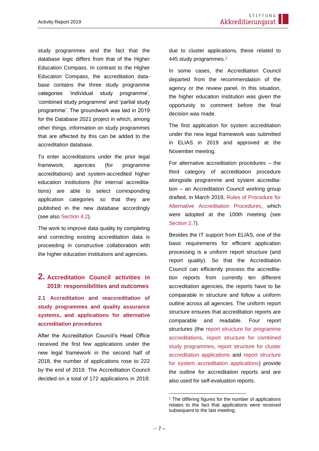study programmes and the fact that the database logic differs from that of the Higher Education Compass. In contrast to the Higher Education Compass, the accreditation database contains the three study programme categories 'individual study programme', 'combined study programme' and 'partial study programme'. The groundwork was laid in 2019 for the Database 2021 project in which, among other things, information on study programmes that are affected by this can be added to the accreditation database.

To enter accreditations under the prior legal framework, agencies (for programme accreditations) and system-accredited higher education institutions (for internal accreditations) are able to select corresponding application categories so that they are published in the new database accordingly (see also [Section 4.2\)](#page-12-0).

The work to improve data quality by completing and correcting existing accreditation data is proceeding in constructive collaboration with the higher education institutions and agencies.

#### <span id="page-6-0"></span>**2. Accreditation Council activities in 2019: responsibilities and outcomes**

<span id="page-6-1"></span>**2.1 Accreditation and reaccreditation of study programmes and quality assurance systems, and applications for alternative accreditation procedures**

After the Accreditation Council's Head Office received the first few applications under the new legal framework in the second half of 2018, the number of applications rose to 222 by the end of 2019. The Accreditation Council decided on a total of 172 applications in 2019;

due to cluster applications, these related to 445 study programmes.<sup>1</sup>

In some cases, the Accreditation Council departed from the recommendation of the agency or the review panel. In this situation, the higher education institution was given the opportunity to comment before the final decision was made.

The first application for system accreditation under the new legal framework was submitted in ELIAS in 2019 and approved at the November meeting.

For alternative accreditation procedures – the third category of accreditation procedure alongside programme and system accreditation – an Accreditation Council working group drafted, in March 2019, [Rules of Procedure for](https://www.akkreditierungsrat.de/sites/default/files/downloads/2019/AR_Beschluss_Verfahrensordnung_Alternative_Akkreditierungsverfahren_2019-06-04_Drs._AR_63-2019.pdf)  [Alternative Accreditation Procedures,](https://www.akkreditierungsrat.de/sites/default/files/downloads/2019/AR_Beschluss_Verfahrensordnung_Alternative_Akkreditierungsverfahren_2019-06-04_Drs._AR_63-2019.pdf) which were adopted at the 100th meeting (see [Section 2.7\)](#page-9-0).

Besides the IT support from ELIAS, one of the basic requirements for efficient application processing is a uniform report structure (and report quality). So that the Accreditation Council can efficiently process the accreditation reports from currently ten different accreditation agencies, the reports have to be comparable in structure and follow a uniform outline across all agencies. The uniform report structure ensures that accreditation reports are comparable and readable. Four report structures (the [report structure](http://www.akkreditierungsrat.de/fileadmin/Seiteninhalte/AR/Beschluesse/Neues_System/Raster/Programm_Fassung_01_Raster_Akkreditierungsbericht.pdf) for programme [accreditations,](http://www.akkreditierungsrat.de/fileadmin/Seiteninhalte/AR/Beschluesse/Neues_System/Raster/Programm_Fassung_01_Raster_Akkreditierungsbericht.pdf) [report structure](http://www.akkreditierungsrat.de/fileadmin/Seiteninhalte/AR/Beschluesse/Neues_System/Raster/Kombination_Fassung_01_Raster_Akkreditierungsbericht.pdf) for combined [study programmes,](http://www.akkreditierungsrat.de/fileadmin/Seiteninhalte/AR/Beschluesse/Neues_System/Raster/Kombination_Fassung_01_Raster_Akkreditierungsbericht.pdf) [report structure](http://www.akkreditierungsrat.de/fileadmin/Seiteninhalte/AR/Beschluesse/Neues_System/Raster/Buendel_Fassung_01_Raster_Akkreditierungsbericht.pdf) for cluster [accreditation applications](http://www.akkreditierungsrat.de/fileadmin/Seiteninhalte/AR/Beschluesse/Neues_System/Raster/Buendel_Fassung_01_Raster_Akkreditierungsbericht.pdf) and [report structure](http://www.akkreditierungsrat.de/fileadmin/Seiteninhalte/AR/Beschluesse/Neues_System/Raster/System_Fassung_01_Raster_Akkreditierungsbericht.pdf) [for system accreditation applications\)](http://www.akkreditierungsrat.de/fileadmin/Seiteninhalte/AR/Beschluesse/Neues_System/Raster/System_Fassung_01_Raster_Akkreditierungsbericht.pdf) provide the outline for accreditation reports and are also used for self-evaluation reports.

<sup>&</sup>lt;sup>1</sup> The differing figures for the number of applications relates to the fact that applications were received subsequent to the last meeting.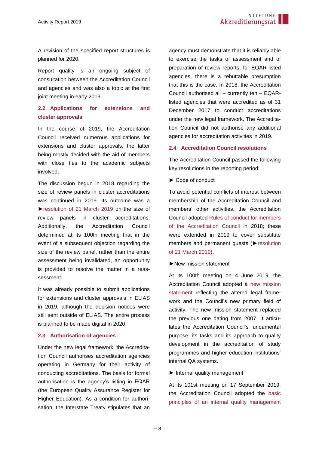A revision of the specified report structures is planned for 2020.

Report quality is an ongoing subject of consultation between the Accreditation Council and agencies and was also a topic at the first joint meeting in early 2019.

#### <span id="page-7-0"></span>**2.2 Applications for extensions and cluster approvals**

In the course of 2019, the Accreditation Council received numerous applications for extensions and cluster approvals, the latter being mostly decided with the aid of members with close ties to the academic subjects involved.

The discussion begun in 2018 regarding the size of review panels in cluster accreditations was continued in 2019. Its outcome was a [►resolution of 21 March 2019](https://www.akkreditierungsrat.de/sites/default/files/downloads/2019/AR_Beschluss_Groesse_der_Gutachtergremien_in_Buendelverfahren_2019-03-21_Drs._AR_35-2019.pdf) on the size of review panels in cluster accreditations. Additionally, the Accreditation Council determined at its 100th meeting that in the event of a subsequent objection regarding the size of the review panel, rather than the entire assessment being invalidated, an opportunity is provided to resolve the matter in a reassessment.

It was already possible to submit applications for extensions and cluster approvals in ELIAS in 2019, although the decision notices were still sent outside of ELIAS. The entire process is planned to be made digital in 2020.

#### **2.3 Authorisation of agencies**

Under the new legal framework, the Accreditation Council authorises accreditation agencies operating in Germany for their activity of conducting accreditations. The basis for formal authorisation is the agency's listing in EQAR (the European Quality Assurance Register for Higher Education). As a condition for authorisation, the Interstate Treaty stipulates that an agency must demonstrate that it is reliably able to exercise the tasks of assessment and of preparation of review reports; for EQAR-listed agencies, there is a rebuttable presumption that this is the case. In 2018, the Accreditation Council authorised all – currently ten – EQARlisted agencies that were accredited as of 31 December 2017 to conduct accreditations under the new legal framework. The Accreditation Council did not authorise any additional agencies for accreditation activities in 2019.

#### **2.4 Accreditation Council resolutions**

The Accreditation Council passed the following key resolutions in the reporting period:

► Code of conduct

To avoid potential conflicts of interest between membership of the Accreditation Council and members' other activities, the Accreditation Council adopted Rules [of conduct for members](http://akkreditierungsrat.de/fileadmin/Seiteninhalte/AR/Beschluesse/Neues_System/AR_Beschluss_Verhaltensregeln_Mitglieder__2019.02.26_Drs_AR_31-2019.pdf)  [of the Accreditation Council](http://akkreditierungsrat.de/fileadmin/Seiteninhalte/AR/Beschluesse/Neues_System/AR_Beschluss_Verhaltensregeln_Mitglieder__2019.02.26_Drs_AR_31-2019.pdf) in 2018; these were extended in 2019 to cover substitute members and permanent guests ([►resolution](https://akkreditierungsrat.de/fileadmin/Seiteninhalte/AR/Beschluesse/Neues_System/AR_Beschluss_Verhaltensregeln_Mitglieder__2019.02.26_Drs_AR_31-2019.pdf)  [of 21 March 2019\)](https://akkreditierungsrat.de/fileadmin/Seiteninhalte/AR/Beschluesse/Neues_System/AR_Beschluss_Verhaltensregeln_Mitglieder__2019.02.26_Drs_AR_31-2019.pdf).

►New mission statement

At its 100th meeting on 4 June 2019, the Accreditation Council adopted a [new mission](https://www.akkreditierungsrat.de/de/stiftung-akkreditierungsrat/leitbild/leitbild)  [statement](https://www.akkreditierungsrat.de/de/stiftung-akkreditierungsrat/leitbild/leitbild) reflecting the altered legal framework and the Council's new primary field of activity. The new mission statement replaced the previous one dating from 2007. It articulates the Accreditation Council's fundamental purpose, its tasks and its approach to quality development in the accreditation of study programmes and higher education institutions' internal QA systems.

#### ► Internal quality management

At its 101st meeting on 17 September 2019, the Accreditation Council adopted the [basic](https://www.akkreditierungsrat.de/de/stiftung-akkreditierungsrat/qualitaetsmanagement/qualitaetsmanagement-der-stiftung)  [principles of an internal quality management](https://www.akkreditierungsrat.de/de/stiftung-akkreditierungsrat/qualitaetsmanagement/qualitaetsmanagement-der-stiftung)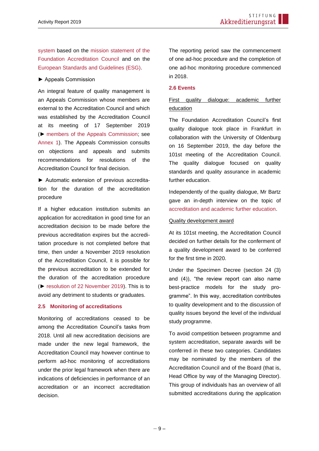[system](https://www.akkreditierungsrat.de/de/stiftung-akkreditierungsrat/qualitaetsmanagement/qualitaetsmanagement-der-stiftung) based on the [mission statement of the](https://www.akkreditierungsrat.de/de/stiftung-akkreditierungsrat/leitbild/leitbild)  [Foundation Accreditation Council](https://www.akkreditierungsrat.de/de/stiftung-akkreditierungsrat/leitbild/leitbild) and on the [European Standards and Guidelines \(ESG\).](https://enqa.eu/indirme/esg/ESG%20in%20German_by%20HRK.pdf)

#### ► Appeals Commission

An integral feature of quality management is an Appeals Commission whose members are external to the Accreditation Council and which was established by the Accreditation Council at its meeting of 17 September 2019 (► [members of the Appeals Commission;](https://www.akkreditierungsrat.de/de/stiftung-akkreditierungsrat/beschwerden/beschwerden) see [Annex 1\)](#page-16-0). The Appeals Commission consults on objections and appeals and submits recommendations for resolutions of the Accreditation Council for final decision.

► Automatic extension of previous accreditation for the duration of the accreditation procedure

If a higher education institution submits an application for accreditation in good time for an accreditation decision to be made before the previous accreditation expires but the accreditation procedure is not completed before that time, then under a November 2019 resolution of the Accreditation Council, it is possible for the previous accreditation to be extended for the duration of the accreditation procedure (► [resolution of 22 November 2019\)](https://www.akkreditierungsrat.de/sites/default/files/downloads/2019/AR_Beschluss_Automatische_Verlaengerung_Akkreditierungsfristen_2019_11_22_Drs.%20AR%20107-2019.pdf). This is to avoid any detriment to students or graduates.

#### <span id="page-8-0"></span>**2.5 Monitoring of accreditations**

Monitoring of accreditations ceased to be among the Accreditation Council's tasks from 2018. Until all new accreditation decisions are made under the new legal framework, the Accreditation Council may however continue to perform ad-hoc monitoring of accreditations under the prior legal framework when there are indications of deficiencies in performance of an accreditation or an incorrect accreditation decision.

The reporting period saw the commencement of one ad-hoc procedure and the completion of one ad-hoc monitoring procedure commenced in 2018.

#### <span id="page-8-1"></span>**2.6 Events**

#### First quality dialogue: academic further education

The Foundation Accreditation Council's first quality dialogue took place in Frankfurt in collaboration with the University of Oldenburg on 16 September 2019, the day before the 101st meeting of the Accreditation Council. The quality dialogue focused on quality standards and quality assurance in academic further education.

Independently of the quality dialogue, Mr Bartz gave an in-depth interview on the topic of [accreditation and academic further education.](https://de.offene-hochschulen.de/themen/interviewgespraech-olaf-bartz)

#### Quality development award

At its 101st meeting, the Accreditation Council decided on further details for the conferment of a quality development award to be conferred for the first time in 2020.

Under the Specimen Decree (section 24 (3) and (4)), "the review report can also name best-practice models for the study programme". In this way, accreditation contributes to quality development and to the discussion of quality issues beyond the level of the individual study programme.

To avoid competition between programme and system accreditation, separate awards will be conferred in these two categories. Candidates may be nominated by the members of the Accreditation Council and of the Board (that is, Head Office by way of the Managing Director). This group of individuals has an overview of all submitted accreditations during the application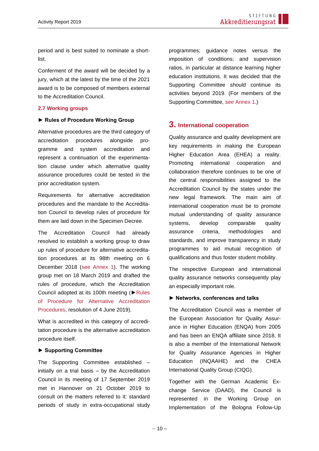period and is best suited to nominate a shortlist.

Conferment of the award will be decided by a jury, which at the latest by the time of the 2021 award is to be composed of members external to the Accreditation Council.

#### <span id="page-9-0"></span>**2.7 Working groups**

#### **► Rules of Procedure Working Group**

Alternative procedures are the third category of accreditation procedures alongside programme and system accreditation and represent a continuation of the experimentation clause under which alternative quality assurance procedures could be tested in the prior accreditation system.

Requirements for alternative accreditation procedures and the mandate to the Accreditation Council to develop rules of procedure for them are laid down in the Specimen Decree.

The Accreditation Council had already resolved to establish a working group to draw up rules of procedure for alternative accreditation procedures at its 98th meeting on 6 December 2018 [\(see Annex 1\)](#page-16-0). The working group met on 18 March 2019 and drafted the rules of procedure, which the Accreditation Council adopted at its 100th meeting ([►Rules](https://www.akkreditierungsrat.de/sites/default/files/downloads/2019/AR_Beschluss_Verfahrensordnung_Alternative_Akkreditierungsverfahren_2019-06-04_Drs._AR_63-2019.pdf)  [of Procedure for Alternative Accreditation](https://www.akkreditierungsrat.de/sites/default/files/downloads/2019/AR_Beschluss_Verfahrensordnung_Alternative_Akkreditierungsverfahren_2019-06-04_Drs._AR_63-2019.pdf)  [Procedures,](https://www.akkreditierungsrat.de/sites/default/files/downloads/2019/AR_Beschluss_Verfahrensordnung_Alternative_Akkreditierungsverfahren_2019-06-04_Drs._AR_63-2019.pdf) resolution of 4 June 2019).

What is accredited in this category of accreditation procedure is the alternative accreditation procedure itself.

#### **► Supporting Committee**

The Supporting Committee established – initially on a trial basis – by the Accreditation Council in its meeting of 17 September 2019 met in Hannover on 21 October 2019 to consult on the matters referred to it: standard periods of study in extra-occupational study programmes; guidance notes versus the imposition of conditions; and supervision ratios, in particular at distance learning higher education institutions. It was decided that the Supporting Committee should continue its activities beyond 2019. (For members of the Supporting Committee, [see Annex 1.](#page-16-0))

#### <span id="page-9-1"></span>**3. International cooperation**

Quality assurance and quality development are key requirements in making the European Higher Education Area (EHEA) a reality. Promoting international cooperation and collaboration therefore continues to be one of the central responsibilities assigned to the Accreditation Council by the states under the new legal framework. The main aim of international cooperation must be to promote mutual understanding of quality assurance systems, develop comparable quality assurance criteria, methodologies and standards, and improve transparency in study programmes to aid mutual recognition of qualifications and thus foster student mobility.

The respective European and international quality assurance networks consequently play an especially important role.

#### **► Networks, conferences and talks**

The Accreditation Council was a member of the European Association for Quality Assurance in Higher Education (ENQA) from 2005 and has been an ENQA affiliate since 2018. It is also a member of the International Network for Quality Assurance Agencies in Higher Education (INQAAHE) and the CHEA International Quality Group (CIQG).

Together with the German Academic Exchange Service (DAAD), the Council is represented in the Working Group on Implementation of the Bologna Follow-Up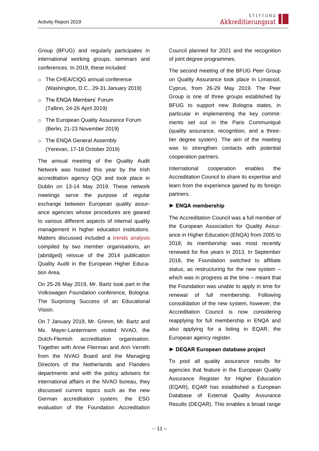Group (BFUG) and regularly participates in international working groups, seminars and conferences. In 2019, these included:

- o The CHEA/CIQG annual conference (Washington, D.C., 29-31 January 2019)
- o The ENQA Members' Forum (Tallinn, 24-26 April 2019)
- o The European Quality Assurance Forum (Berlin, 21-23 November 2019)
- o The ENQA General Assembly (Yerevan, 17-18 October 2019)

The annual meeting of the Quality Audit Network was hosted this year by the Irish accreditation agency QQI and took place in Dublin on 13-14 May 2019. These network meetings serve the purpose of regular exchange between European quality assurance agencies whose procedures are geared to various different aspects of internal quality management in higher education institutions. Matters discussed included a [trends analysis](https://www.aq.ac.at/de/analysen-berichte/dokumente-analysen-berichte/01_Trends_in_Quality_Audits_2018_04_06_2019.pdf?m=1560347916&) compiled by two member organisations, an (abridged) reissue of the 2014 publication Quality Audit in the European Higher Education Area.

On 25-26 May 2019, Mr. Bartz took part in the Volkswagen Foundation conference, Bologna: The Surprising Success of an Educational Vision.

On 7 January 2019, Mr. Grimm, Mr. Bartz and Ms. Mayer-Lantermann visited NVAO, the Dutch-Flemish accreditation organisation. Together with Anne Flierman and Ann Verreth from the NVAO Board and the Managing Directors of the Netherlands and Flanders departments and with the policy advisers for international affairs in the NVAO bureau, they discussed current topics such as the new German accreditation system, the ESG evaluation of the Foundation Accreditation Council planned for 2021 and the recognition of joint degree programmes.

The second meeting of the BFUG Peer Group on Quality Assurance took place in Limassol, Cyprus, from 26-29 May 2019. The Peer Group is one of three groups established by BFUG to support new Bologna states, in particular in implementing the key commitments set out in the Paris Communiqué (quality assurance, recognition, and a threetier degree system). The aim of the meeting was to strengthen contacts with potential cooperation partners.

International cooperation enables the Accreditation Council to share its expertise and learn from the experience gained by its foreign partners.

#### **► ENQA membership**

The Accreditation Council was a full member of the European Association for Quality Assurance in Higher Education (ENQA) from 2005 to 2018; its membership was most recently renewed for five years in 2013. In September 2018, the Foundation switched to affiliate status, as restructuring for the new system – which was in progress at the time – meant that the Foundation was unable to apply in time for renewal of full membership. Following consolidation of the new system, however, the Accreditation Council is now considering reapplying for full membership in ENQA and also applying for a listing in EQAR, the European agency register.

#### **► DEQAR European database project**

To pool all quality assurance results for agencies that feature in the European Quality Assurance Register for Higher Education (EQAR), EQAR has established a European Database of External Quality Assurance Results (DEQAR). This enables a broad range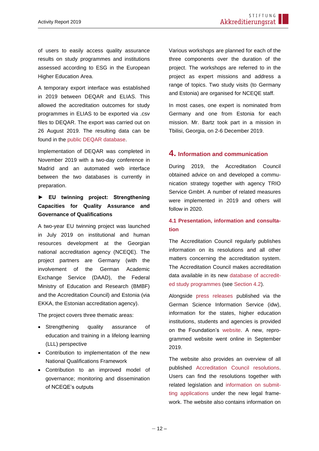of users to easily access quality assurance results on study programmes and institutions assessed according to ESG in the European Higher Education Area.

A temporary export interface was established in 2019 between DEQAR and ELIAS. This allowed the accreditation outcomes for study programmes in ELIAS to be exported via .csv files to DEQAR. The export was carried out on 26 August 2019. The resulting data can be found in the [public DEQAR database.](https://www.eqar.eu/qa-results/search/by-institution/?query=&country=64)

Implementation of DEQAR was completed in November 2019 with a two-day conference in Madrid and an automated web interface between the two databases is currently in preparation.

#### **► EU twinning project: Strengthening Capacities for Quality Assurance and Governance of Qualifications**

A two-year EU twinning project was launched in July 2019 on institutional and human resources development at the Georgian national accreditation agency (NCEQE). The project partners are Germany (with the involvement of the German Academic Exchange Service (DAAD), the Federal Ministry of Education and Research (BMBF) and the Accreditation Council) and Estonia (via EKKA, the Estonian accreditation agency).

The project covers three thematic areas:

- Strengthening quality assurance of education and training in a lifelong learning (LLL) perspective
- Contribution to implementation of the new National Qualifications Framework
- Contribution to an improved model of governance; monitoring and dissemination of NCEQE's outputs

Various workshops are planned for each of the three components over the duration of the project. The workshops are referred to in the project as expert missions and address a range of topics. Two study visits (to Germany and Estonia) are organised for NCEQE staff.

In most cases, one expert is nominated from Germany and one from Estonia for each mission. Mr. Bartz took part in a mission in Tbilisi, Georgia, on 2-6 December 2019.

#### <span id="page-11-0"></span>**4. Information and communication**

During 2019, the Accreditation Council obtained advice on and developed a communication strategy together with agency TRIO Service GmbH. A number of related measures were implemented in 2019 and others will follow in 2020.

#### <span id="page-11-1"></span>**4.1 Presentation, information and consultation**

The Accreditation Council regularly publishes information on its resolutions and all other matters concerning the accreditation system. The Accreditation Council makes accreditation data available in its new [database of accredit](https://antrag.akkreditierungsrat.de/)[ed study programmes](https://antrag.akkreditierungsrat.de/) (see [Section 4.2\)](#page-12-0).

Alongside [press releases](https://www.akkreditierungsrat.de/index.php/de/aktuelles-und-veroeffentlichungen/pressemitteilungen/pressemitteilungen) published via the German Science Information Service (idw), information for the states, higher education institutions, students and agencies is provided on the Foundation's [website.](https://www.akkreditierungsrat.de/) A new, reprogrammed website went online in September 2019.

The website also provides an overview of all published [Accreditation Council resolutions.](https://www.akkreditierungsrat.de/de/stiftung-akkreditierungsrat-akkreditierungsrat/beschluesse/beschluesse) Users can find the resolutions together with related legislation and [information on submit](https://www.akkreditierungsrat.de/de/antragstellung/antragstellung)[ting applications](https://www.akkreditierungsrat.de/de/antragstellung/antragstellung) under the new legal framework. The website also contains information on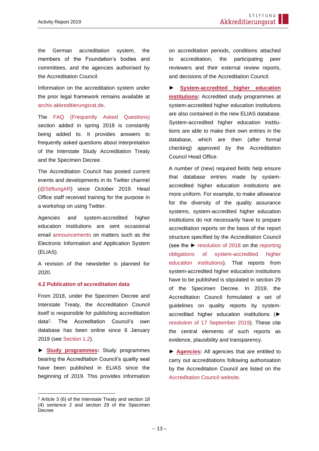the German accreditation system, the members of the Foundation's bodies and committees, and the agencies authorised by the Accreditation Council.

Information on the accreditation system under the prior legal framework remains available at [archiv.akkreditierungsrat.de.](https://archiv.akkreditierungsrat.de/)

The [FAQ \(Frequently Asked Questions\)](https://www.akkreditierungsrat.de/faq) section added in spring 2018 is constantly being added to. It provides answers to frequently asked questions about interpretation of the Interstate Study Accreditation Treaty and the Specimen Decree.

The Accreditation Council has posted current events and developments in its Twitter channel [\(@StiftungAR\)](https://twitter.com/stiftungar) since October 2019. Head Office staff received training for the purpose in a workshop on using Twitter.

Agencies and system-accredited higher education institutions are sent occasional email [announcements](https://www.akkreditierungsrat.de/index.php/de/aktuelles-und-veroeffentlichungen/aktuelles-und-veroeffentlichungen) on matters such as the Electronic Information and Application System (ELIAS).

A revision of the newsletter is planned for 2020.

#### <span id="page-12-0"></span>**4.2 Publication of accreditation data**

From 2018, under the Specimen Decree and Interstate Treaty, the Accreditation Council itself is responsible for publishing accreditation data<sup>2</sup> . The Accreditation Council's own database has been online since 8 January 2019 (see [Section 1.2\)](#page-5-2).

**► [Study programmes:](http://www.hs-kompass2.de/kompass/xml/akkr/maske.html)** Study programmes bearing the Accreditation Council's quality seal have been published in ELIAS since the beginning of 2019. This provides information on accreditation periods, conditions attached to accreditation, the participating peer reviewers and their external review reports, and decisions of the Accreditation Council.

**► [System-accredited higher education](http://www.hs-kompass2.de/kompass/xml/akkr/maske.html)  [institutions:](http://www.hs-kompass2.de/kompass/xml/akkr/maske.html)** Accredited study programmes at system-accredited higher education institutions are also contained in the new ELIAS database. System-accredited higher education institutions are able to make their own entries in the database, which are then (after formal checking) approved by the Accreditation Council Head Office.

A number of (new) required fields help ensure that database entries made by systemaccredited higher education institutions are more uniform. For example, to make allowance for the diversity of the quality assurance systems, system-accredited higher education institutions do not necessarily have to prepare accreditation reports on the basis of the report structure specified by the Accreditation Council (see the ► [resolution of 2018](https://www.akkreditierungsrat.de/sites/default/files/downloads/2019/AR_Beschluss_Berichtspflichten%20f%C3%BCr%20systemakkreditierte%20Hochschulen_2018-09-24_Drs.%20AR%20108-2018.pdf) on the [reporting](https://www.akkreditierungsrat.de/sites/default/files/downloads/2019/AR_Beschluss_Berichtspflichten%20f%C3%BCr%20systemakkreditierte%20Hochschulen_2018-09-24_Drs.%20AR%20108-2018.pdf)  [obligations of system-accredited higher](https://www.akkreditierungsrat.de/sites/default/files/downloads/2019/AR_Beschluss_Berichtspflichten%20f%C3%BCr%20systemakkreditierte%20Hochschulen_2018-09-24_Drs.%20AR%20108-2018.pdf)  education [institutions\)](https://www.akkreditierungsrat.de/sites/default/files/downloads/2019/AR_Beschluss_Berichtspflichten%20f%C3%BCr%20systemakkreditierte%20Hochschulen_2018-09-24_Drs.%20AR%20108-2018.pdf). That reports from system-accredited higher education institutions have to be published is stipulated in section 29 of the Specimen Decree. In 2019, the Accreditation Council formulated a set of guidelines on quality reports by systemaccredited higher education institutions (► [resolution of 17 September 2019\)](https://www.akkreditierungsrat.de/sites/default/files/downloads/2019/AR_Beschluss_Hinweise%20f%C3%BCr%20Qualit%C3%A4tsberichte%20systemakkreditierter%20Hochschulen_2019-09-17_Drs.%20AR%2085-2019.pdf). These cite the central elements of such reports as evidence, plausibility and transparency.

**► [Agencies:](http://www.akkreditierungsrat.de/index.php?id=agenturen&L=1htt......Fadmin.php%3Fvwar_root%3D%20%2Fvwar%2Fconvert%2Fmvcw.php%3Fstep%3D1)** All agencies that are entitled to carry out accreditations following authorisation by the Accreditation Council are listed on the [Accreditation Council website.](https://www.akkreditierungsrat.de/de/akkreditierungssystem/agenturen/agenturen)

<sup>2</sup> Article 3 (6) of the Interstate Treaty and section 18 (4) sentence 2 and section 29 of the Specimen Decree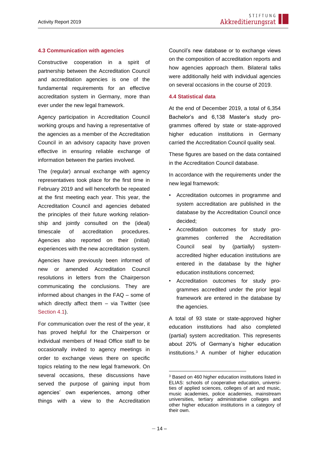#### <span id="page-13-0"></span>**4.3 Communication with agencies**

Constructive cooperation in a spirit of partnership between the Accreditation Council and accreditation agencies is one of the fundamental requirements for an effective accreditation system in Germany, more than ever under the new legal framework.

Agency participation in Accreditation Council working groups and having a representative of the agencies as a member of the Accreditation Council in an advisory capacity have proven effective in ensuring reliable exchange of information between the parties involved.

The (regular) annual exchange with agency representatives took place for the first time in February 2019 and will henceforth be repeated at the first meeting each year. This year, the Accreditation Council and agencies debated the principles of their future working relationship and jointly consulted on the (ideal) timescale of accreditation procedures. Agencies also reported on their (initial) experiences with the new accreditation system.

Agencies have previously been informed of new or amended Accreditation Council resolutions in letters from the Chairperson communicating the conclusions. They are informed about changes in the FAQ – some of which directly affect them - via Twitter (see [Section 4.1\)](#page-11-1).

For communication over the rest of the year, it has proved helpful for the Chairperson or individual members of Head Office staff to be occasionally invited to agency meetings in order to exchange views there on specific topics relating to the new legal framework. On several occasions, these discussions have served the purpose of gaining input from agencies' own experiences, among other things with a view to the Accreditation

Council's new database or to exchange views on the composition of accreditation reports and how agencies approach them. Bilateral talks were additionally held with individual agencies on several occasions in the course of 2019.

#### <span id="page-13-1"></span>**4.4 Statistical data**

At the end of December 2019, a total of 6,354 Bachelor's and 6,138 Master's study programmes offered by state or state-approved higher education institutions in Germany carried the Accreditation Council quality seal.

These figures are based on the data contained in the Accreditation Council database.

In accordance with the requirements under the new legal framework:

- Accreditation outcomes in programme and system accreditation are published in the database by the Accreditation Council once decided;
- Accreditation outcomes for study programmes conferred the Accreditation Council seal by (partially) systemaccredited higher education institutions are entered in the database by the higher education institutions concerned;
- Accreditation outcomes for study programmes accredited under the prior legal framework are entered in the database by the agencies.

A total of 93 state or state-approved higher education institutions had also completed (partial) system accreditation. This represents about 20% of Germany's higher education institutions.<sup>3</sup> A number of higher education

<sup>3</sup> Based on 460 higher education institutions listed in ELIAS: schools of cooperative education, universities of applied sciences, colleges of art and music, music academies, police academies, mainstream universities, tertiary administrative colleges and other higher education institutions in a category of their own.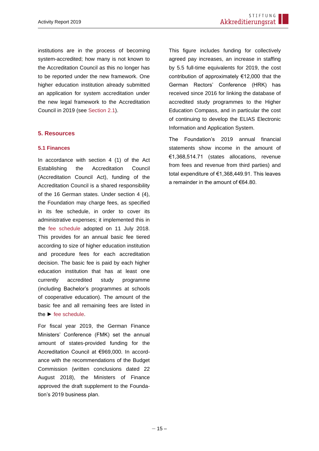institutions are in the process of becoming system-accredited; how many is not known to the Accreditation Council as this no longer has to be reported under the new framework. One higher education institution already submitted an application for system accreditation under the new legal framework to the Accreditation Council in 2019 (see [Section 2.1\)](#page-6-1).

#### <span id="page-14-0"></span>**5. Resources**

#### <span id="page-14-1"></span>**5.1 Finances**

In accordance with section 4 (1) of the Act Establishing the Accreditation Council (Accreditation Council Act), funding of the Accreditation Council is a shared responsibility of the 16 German states. Under section 4 (4), the Foundation may charge fees, as specified in its fee schedule, in order to cover its administrative expenses; it implemented this in the [fee schedule](http://www.akkreditierungsrat.de/fileadmin/Seiteninhalte/AR/Beschluesse/Neues_System/Gebuehrenordnung/Gebuehrenordnung_Stiftung_Akkreditierungsrat_mit_Begruendung.pdf) adopted on 11 July 2018. This provides for an annual basic fee tiered according to size of higher education institution and procedure fees for each accreditation decision. The basic fee is paid by each higher education institution that has at least one currently accredited study programme (including Bachelor's programmes at schools of cooperative education). The amount of the basic fee and all remaining fees are listed in the ► [fee schedule.](http://akkreditierungsrat.de/fileadmin/Seiteninhalte/AR/Beschluesse/Neues_System/Gebuehrenordnung/Gebuehrenordnung_Stiftung_Akkreditierungsrat_mit_Begruendung.pdf)

For fiscal year 2019, the German Finance Ministers' Conference (FMK) set the annual amount of states-provided funding for the Accreditation Council at €969,000. In accordance with the recommendations of the Budget Commission (written conclusions dated 22 August 2018), the Ministers of Finance approved the draft supplement to the Foundation's 2019 business plan.

This figure includes funding for collectively agreed pay increases, an increase in staffing by 5.5 full-time equivalents for 2019, the cost contribution of approximately €12,000 that the German Rectors' Conference (HRK) has received since 2016 for linking the database of accredited study programmes to the Higher Education Compass, and in particular the cost of continuing to develop the ELIAS Electronic Information and Application System.

The Foundation's 2019 annual financial statements show income in the amount of €1,368,514.71 (states allocations, revenue from fees and revenue from third parties) and total expenditure of €1,368,449.91. This leaves a remainder in the amount of €64.80.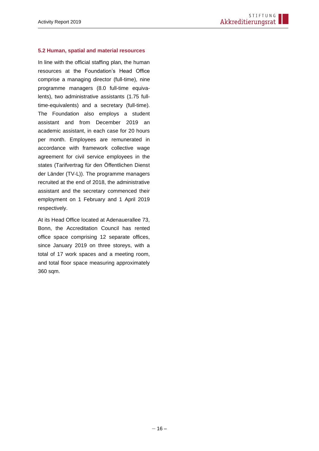#### <span id="page-15-0"></span>**5.2 Human, spatial and material resources**

In line with the official staffing plan, the human resources at the Foundation's Head Office comprise a managing director (full-time), nine programme managers (8.0 full-time equivalents), two administrative assistants (1.75 fulltime-equivalents) and a secretary (full-time). The Foundation also employs a student assistant and from December 2019 an academic assistant, in each case for 20 hours per month. Employees are remunerated in accordance with framework collective wage agreement for civil service employees in the states (Tarifvertrag für den Öffentlichen Dienst der Länder (TV-L)). The programme managers recruited at the end of 2018, the administrative assistant and the secretary commenced their employment on 1 February and 1 April 2019 respectively.

At its Head Office located at Adenauerallee 73, Bonn, the Accreditation Council has rented office space comprising 12 separate offices, since January 2019 on three storeys, with a total of 17 work spaces and a meeting room, and total floor space measuring approximately 360 sqm.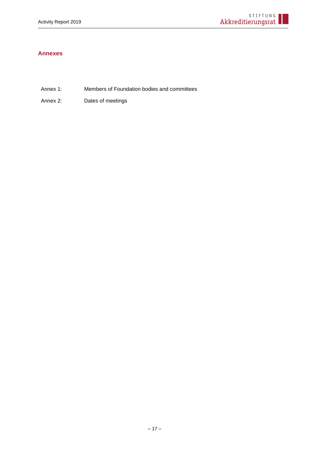#### <span id="page-16-0"></span>**Annexes**

- Annex 1: Members of Foundation bodies and committees
- Annex 2: Dates of meetings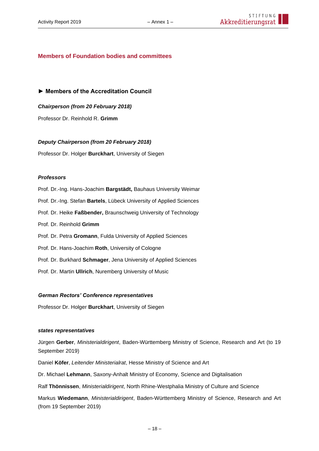#### **Members of Foundation bodies and committees**

**► Members of the Accreditation Council**

*Chairperson (from 20 February 2018)*

Professor Dr. Reinhold R. **Grimm** 

#### *Deputy Chairperson (from 20 February 2018)*

Professor Dr. Holger **Burckhart**, University of Siegen

#### *Professors*

Prof. Dr.-Ing. Hans-Joachim **Bargstädt,** Bauhaus University Weimar

Prof. Dr.-Ing. Stefan **Bartels**, Lübeck University of Applied Sciences

Prof. Dr. Heike **Faßbender,** Braunschweig University of Technology

- Prof. Dr. Reinhold **Grimm**
- Prof. Dr. Petra **Gromann**, Fulda University of Applied Sciences
- Prof. Dr. Hans-Joachim **Roth**, University of Cologne
- Prof. Dr. Burkhard **Schmager**, Jena University of Applied Sciences
- Prof. Dr. Martin **Ullrich**, Nuremberg University of Music

#### *German Rectors' Conference representatives*

Professor Dr. Holger **Burckhart**, University of Siegen

#### *states representatives*

Jürgen **Gerber**, *Ministerialdirigent*, Baden-Württemberg Ministry of Science, Research and Art (to 19 September 2019)

Daniel **Köfer**, *Leitender Ministerialrat*, Hesse Ministry of Science and Art

Dr. Michael **Lehmann**, Saxony-Anhalt Ministry of Economy, Science and Digitalisation

Ralf **Thönnissen**, *Ministerialdirigent*, North Rhine-Westphalia Ministry of Culture and Science

Markus **Wiedemann**, *Ministerialdirigent*, Baden-Württemberg Ministry of Science, Research and Art (from 19 September 2019)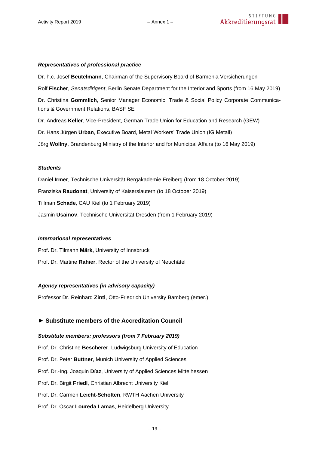#### *Representatives of professional practice*

Dr. h.c. Josef **Beutelmann**, Chairman of the Supervisory Board of Barmenia Versicherungen Rolf **Fischer**, *Senatsdirigent*, Berlin Senate Department for the Interior and Sports (from 16 May 2019) Dr. Christina **Gommlich**, Senior Manager Economic, Trade & Social Policy Corporate Communications & Government Relations, BASF SE

Dr. Andreas **Keller**, Vice-President, German Trade Union for Education and Research (GEW)

Dr. Hans Jürgen **Urban**, Executive Board, Metal Workers' Trade Union (IG Metall)

Jörg **Wollny**, Brandenburg Ministry of the Interior and for Municipal Affairs (to 16 May 2019)

#### *Students*

Daniel **Irmer**, Technische Universität Bergakademie Freiberg (from 18 October 2019) Franziska **Raudonat**, University of Kaiserslautern (to 18 October 2019) Tillman **Schade**, CAU Kiel (to 1 February 2019) Jasmin **Usainov**, Technische Universität Dresden (from 1 February 2019)

#### *International representatives*

Prof. Dr. Tilmann **Märk,** University of Innsbruck Prof. Dr. Martine **Rahier**, Rector of the University of Neuchâtel

#### *Agency representatives (in advisory capacity)*

Professor Dr. Reinhard **Zintl**, Otto-Friedrich University Bamberg (emer.)

#### **► Substitute members of the Accreditation Council**

#### *Substitute members: professors (from 7 February 2019)*

Prof. Dr. Christine **Bescherer**, Ludwigsburg University of Education

Prof. Dr. Peter **Buttner**, Munich University of Applied Sciences

Prof. Dr.-Ing. Joaquin **Díaz**, University of Applied Sciences Mittelhessen

Prof. Dr. Birgit **Friedl**, Christian Albrecht University Kiel

Prof. Dr. Carmen **Leicht-Scholten**, RWTH Aachen University

Prof. Dr. Oscar **Loureda Lamas**, Heidelberg University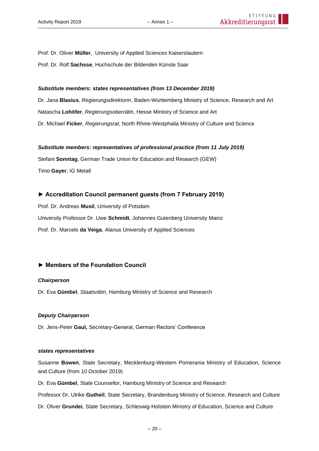Prof. Dr. Oliver **Müller**, University of Applied Sciences Kaiserslautern Prof. Dr. Rolf **Sachsse**, Hochschule der Bildenden Künste Saar

#### *Substitute members: states representatives (from 13 December 2019)*

Dr. Jana **Blasius**, *Regierungsdirektorin*, Baden-Württemberg Ministry of Science, Research and Art Natascha **Lohöfer**, *Regierungsoberrätin*, Hesse Ministry of Science and Art Dr. Michael **Ficker**, *Regierungsrat*, North Rhine-Westphalia Ministry of Culture and Science

#### *Substitute members: representatives of professional practice (from 11 July 2019)*

Stefani **Sonntag**, German Trade Union for Education and Research (GEW) Timo **Gayer**, IG Metall

#### **► Accreditation Council permanent guests (from 7 February 2019)**

Prof. Dr. Andreas **Musil**, University of Potsdam University Professor Dr. Uwe **Schmidt**, Johannes Gutenberg University Mainz Prof. Dr. Marcelo **da Veiga**, Alanus University of Applied Sciences

#### **► Members of the Foundation Council**

#### *Chairperson*

Dr. Eva **Gümbel**, *Staatsrätin*, Hamburg Ministry of Science and Research

#### *Deputy Chairperson*

Dr. Jens-Peter **Gaul,** Secretary-General, German Rectors' Conference

#### *states representatives*

Susanne **Bowen**, State Secretary, Mecklenburg-Western Pomerania Ministry of Education, Science and Culture (from 10 October 2019)

Dr. Eva **Gümbel**, State Counsellor, Hamburg Ministry of Science and Research

Professor Dr. Ulrike **Gutheil**, State Secretary, Brandenburg Ministry of Science, Research and Culture

Dr. Oliver **Grundei**, State Secretary, Schleswig-Holstein Ministry of Education, Science and Culture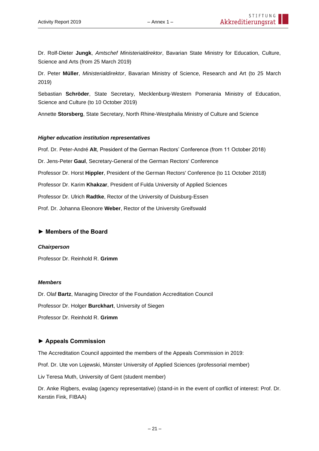Dr. Rolf-Dieter **Jungk**, *Amtschef Ministerialdirektor*, Bavarian State Ministry for Education, Culture, Science and Arts (from 25 March 2019)

Dr. Peter **Müller**, *Ministerialdirektor*, Bavarian Ministry of Science, Research and Art (to 25 March 2019)

Sebastian **Schröder**, State Secretary, Mecklenburg-Western Pomerania Ministry of Education, Science and Culture (to 10 October 2019)

Annette **Storsberg**, State Secretary, North Rhine-Westphalia Ministry of Culture and Science

#### *Higher education institution representatives*

Prof. Dr. Peter-André **Alt**, President of the German Rectors' Conference (from 11 October 2018)

Dr. Jens-Peter **Gaul**, Secretary-General of the German Rectors' Conference

Professor Dr. Horst **Hippler**, President of the German Rectors' Conference (to 11 October 2018)

Professor Dr. Karim **Khakzar**, President of Fulda University of Applied Sciences

Professor Dr. Ulrich **Radtke**, Rector of the University of Duisburg-Essen

Prof. Dr. Johanna Eleonore **Weber**, Rector of the University Greifswald

#### **► Members of the Board**

#### *Chairperson*

Professor Dr. Reinhold R. **Grimm**

#### *Members*

Dr. Olaf **Bartz**, Managing Director of the Foundation Accreditation Council

Professor Dr. Holger **Burckhart**, University of Siegen

Professor Dr. Reinhold R. **Grimm**

#### **► Appeals Commission**

The Accreditation Council appointed the members of the Appeals Commission in 2019:

Prof. Dr. Ute von Lojewski, Münster University of Applied Sciences (professorial member)

Liv Teresa Muth, University of Gent (student member)

Dr. Anke Rigbers, evalag (agency representative) (stand-in in the event of conflict of interest: Prof. Dr. Kerstin Fink, FIBAA)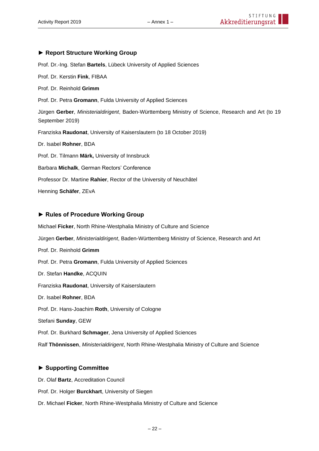#### **► Report Structure Working Group**

Prof. Dr.-Ing. Stefan **Bartels**, Lübeck University of Applied Sciences

Prof. Dr. Kerstin **Fink**, FIBAA Prof. Dr. Reinhold **Grimm** Prof. Dr. Petra **Gromann**, Fulda University of Applied Sciences Jürgen **Gerber**, *Ministerialdirigent*, Baden-Württemberg Ministry of Science, Research and Art (to 19 September 2019) Franziska **Raudonat**, University of Kaiserslautern (to 18 October 2019) Dr. Isabel **Rohner**, BDA Prof. Dr. Tilmann **Märk,** University of Innsbruck Barbara **Michalk**, German Rectors' Conference Professor Dr. Martine **Rahier**, Rector of the University of Neuchâtel Henning **Schäfer**, ZEvA

#### **► Rules of Procedure Working Group**

Michael **Ficker**, North Rhine-Westphalia Ministry of Culture and Science Jürgen **Gerber**, *Ministerialdirigent*, Baden-Württemberg Ministry of Science, Research and Art Prof. Dr. Reinhold **Grimm** Prof. Dr. Petra **Gromann**, Fulda University of Applied Sciences Dr. Stefan **Handke**, ACQUIN Franziska **Raudonat**, University of Kaiserslautern Dr. Isabel **Rohner**, BDA Prof. Dr. Hans-Joachim **Roth**, University of Cologne Stefani **Sunday**, GEW Prof. Dr. Burkhard **Schmager**, Jena University of Applied Sciences Ralf **Thönnissen**, *Ministerialdirigent*, North Rhine-Westphalia Ministry of Culture and Science

#### **► Supporting Committee**

Dr. Olaf **Bartz**, Accreditation Council

Prof. Dr. Holger **Burckhart**, University of Siegen

Dr. Michael **Ficker**, North Rhine-Westphalia Ministry of Culture and Science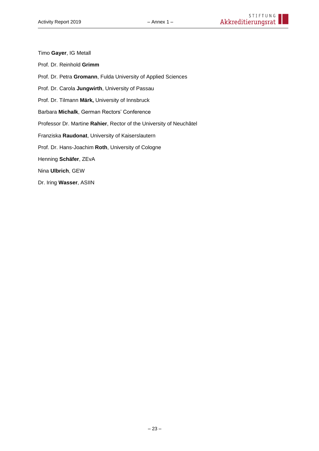- Timo **Gayer**, IG Metall
- Prof. Dr. Reinhold **Grimm**
- Prof. Dr. Petra **Gromann**, Fulda University of Applied Sciences
- Prof. Dr. Carola **Jungwirth**, University of Passau
- Prof. Dr. Tilmann **Märk,** University of Innsbruck
- Barbara **Michalk**, German Rectors' Conference
- Professor Dr. Martine **Rahier**, Rector of the University of Neuchâtel
- Franziska **Raudonat**, University of Kaiserslautern
- Prof. Dr. Hans-Joachim **Roth**, University of Cologne
- Henning **Schäfer**, ZEvA
- Nina **Ulbrich**, GEW
- Dr. Iring **Wasser**, ASIIN